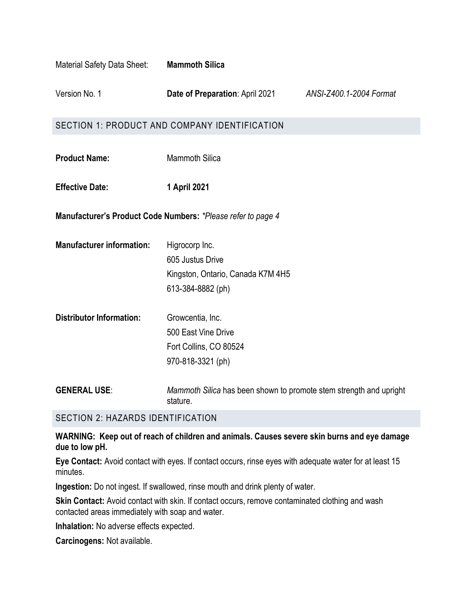| Material Safety Data Sheet:                                  | <b>Mammoth Silica</b>                                                                        |                         |  |
|--------------------------------------------------------------|----------------------------------------------------------------------------------------------|-------------------------|--|
| Version No. 1                                                | <b>Date of Preparation: April 2021</b>                                                       | ANSI-Z400.1-2004 Format |  |
| SECTION 1: PRODUCT AND COMPANY IDENTIFICATION                |                                                                                              |                         |  |
| <b>Product Name:</b>                                         | <b>Mammoth Silica</b>                                                                        |                         |  |
| <b>Effective Date:</b>                                       | 1 April 2021                                                                                 |                         |  |
| Manufacturer's Product Code Numbers: *Please refer to page 4 |                                                                                              |                         |  |
| <b>Manufacturer information:</b>                             | Higrocorp Inc.<br>605 Justus Drive<br>Kingston, Ontario, Canada K7M 4H5<br>613-384-8882 (ph) |                         |  |
| <b>Distributor Information:</b>                              | Growcentia, Inc.<br>500 East Vine Drive<br>Fort Collins, CO 80524<br>970-818-3321 (ph)       |                         |  |
| <b>GENERAL USE:</b>                                          | Mammoth Silica has been shown to promote stem strength and upright<br>stature.               |                         |  |

## SECTION 2: HAZARDS IDENTIFICATION

**WARNING: Keep out of reach of children and animals. Causes severe skin burns and eye damage due to low pH.** 

**Eye Contact:** Avoid contact with eyes. If contact occurs, rinse eyes with adequate water for at least 15 minutes.

**Ingestion:** Do not ingest. If swallowed, rinse mouth and drink plenty of water.

**Skin Contact:** Avoid contact with skin. If contact occurs, remove contaminated clothing and wash contacted areas immediately with soap and water.

**Inhalation:** No adverse effects expected.

**Carcinogens:** Not available.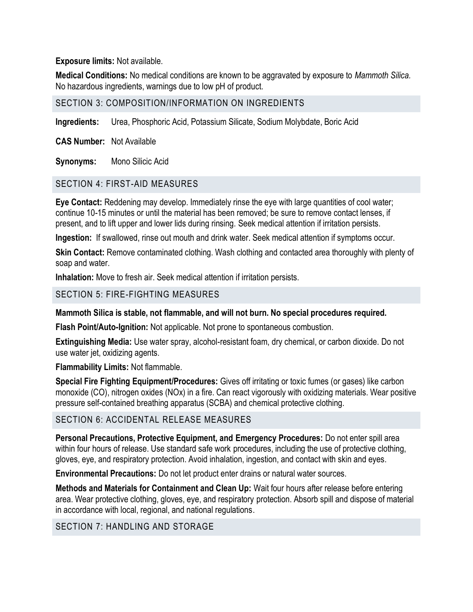**Exposure limits:** Not available.

**Medical Conditions:** No medical conditions are known to be aggravated by exposure to *Mammoth Silica.*  No hazardous ingredients, warnings due to low pH of product.

## SECTION 3: COMPOSITION/INFORMATION ON INGREDIENTS

**Ingredients:** Urea, Phosphoric Acid, Potassium Silicate, Sodium Molybdate, Boric Acid

**CAS Number:** Not Available

**Synonyms:** Mono Silicic Acid

## SECTION 4: FIRST-AID MEASURES

**Eye Contact:** Reddening may develop. Immediately rinse the eye with large quantities of cool water; continue 10-15 minutes or until the material has been removed; be sure to remove contact lenses, if present, and to lift upper and lower lids during rinsing. Seek medical attention if irritation persists.

**Ingestion:** If swallowed, rinse out mouth and drink water. Seek medical attention if symptoms occur.

**Skin Contact:** Remove contaminated clothing. Wash clothing and contacted area thoroughly with plenty of soap and water.

**Inhalation:** Move to fresh air. Seek medical attention if irritation persists.

## SECTION 5: FIRE-FIGHTING MEASURES

## **Mammoth Silica is stable, not flammable, and will not burn. No special procedures required.**

**Flash Point/Auto-Ignition:** Not applicable. Not prone to spontaneous combustion.

**Extinguishing Media:** Use water spray, alcohol-resistant foam, dry chemical, or carbon dioxide. Do not use water jet, oxidizing agents.

**Flammability Limits:** Not flammable.

**Special Fire Fighting Equipment/Procedures:** Gives off irritating or toxic fumes (or gases) like carbon monoxide (CO), nitrogen oxides (NOx) in a fire. Can react vigorously with oxidizing materials. Wear positive pressure self-contained breathing apparatus (SCBA) and chemical protective clothing.

## SECTION 6: ACCIDENTAL RELEASE MEASURES

**Personal Precautions, Protective Equipment, and Emergency Procedures:** Do not enter spill area within four hours of release. Use standard safe work procedures, including the use of protective clothing, gloves, eye, and respiratory protection. Avoid inhalation, ingestion, and contact with skin and eyes.

**Environmental Precautions:** Do not let product enter drains or natural water sources.

**Methods and Materials for Containment and Clean Up:** Wait four hours after release before entering area. Wear protective clothing, gloves, eye, and respiratory protection. Absorb spill and dispose of material in accordance with local, regional, and national regulations.

## SECTION 7: HANDLING AND STORAGE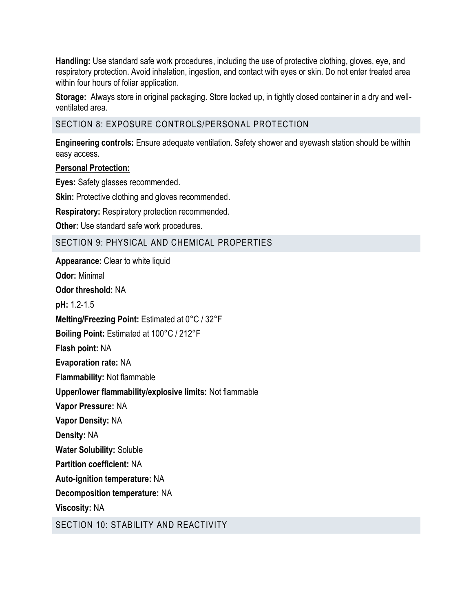**Handling:** Use standard safe work procedures, including the use of protective clothing, gloves, eye, and respiratory protection. Avoid inhalation, ingestion, and contact with eyes or skin. Do not enter treated area within four hours of foliar application.

**Storage:** Always store in original packaging. Store locked up, in tightly closed container in a dry and wellventilated area.

SECTION 8: EXPOSURE CONTROLS/PERSONAL PROTECTION

**Engineering controls:** Ensure adequate ventilation. Safety shower and eyewash station should be within easy access.

## **Personal Protection:**

**Eyes:** Safety glasses recommended.

**Skin:** Protective clothing and gloves recommended.

**Respiratory:** Respiratory protection recommended.

**Other:** Use standard safe work procedures.

## SECTION 9: PHYSICAL AND CHEMICAL PROPERTIES

**Appearance:** Clear to white liquid **Odor:** Minimal **Odor threshold:** NA **pH:** 1.2-1.5 **Melting/Freezing Point:** Estimated at 0°C / 32°F **Boiling Point:** Estimated at 100°C / 212°F **Flash point:** NA **Evaporation rate:** NA **Flammability:** Not flammable **Upper/lower flammability/explosive limits:** Not flammable **Vapor Pressure:** NA **Vapor Density:** NA **Density:** NA **Water Solubility:** Soluble **Partition coefficient:** NA **Auto-ignition temperature:** NA **Decomposition temperature:** NA **Viscosity:** NA SECTION 10: STABILITY AND REACTIVITY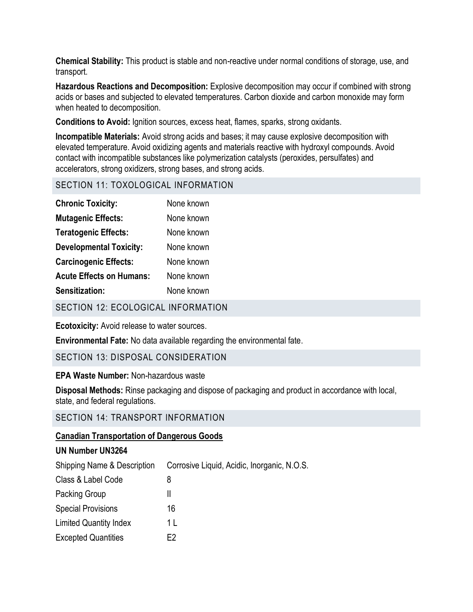**Chemical Stability:** This product is stable and non-reactive under normal conditions of storage, use, and transport.

**Hazardous Reactions and Decomposition:** Explosive decomposition may occur if combined with strong acids or bases and subjected to elevated temperatures. Carbon dioxide and carbon monoxide may form when heated to decomposition.

**Conditions to Avoid:** Ignition sources, excess heat, flames, sparks, strong oxidants.

**Incompatible Materials:** Avoid strong acids and bases; it may cause explosive decomposition with elevated temperature. Avoid oxidizing agents and materials reactive with hydroxyl compounds. Avoid contact with incompatible substances like polymerization catalysts (peroxides, persulfates) and accelerators, strong oxidizers, strong bases, and strong acids.

## SECTION 11: TOXOLOGICAL INFORMATION

| <b>Chronic Toxicity:</b>        | None known |
|---------------------------------|------------|
| <b>Mutagenic Effects:</b>       | None known |
| <b>Teratogenic Effects:</b>     | None known |
| <b>Developmental Toxicity:</b>  | None known |
| <b>Carcinogenic Effects:</b>    | None known |
| <b>Acute Effects on Humans:</b> | None known |
| <b>Sensitization:</b>           | None known |

SECTION 12: ECOLOGICAL INFORMATION

**Ecotoxicity:** Avoid release to water sources.

**Environmental Fate:** No data available regarding the environmental fate.

## SECTION 13: DISPOSAL CONSIDERATION

#### **EPA Waste Number:** Non-hazardous waste

**Disposal Methods:** Rinse packaging and dispose of packaging and product in accordance with local, state, and federal regulations.

## SECTION 14: TRANSPORT INFORMATION

## **Canadian Transportation of Dangerous Goods**

# **UN Number UN3264** Shipping Name & Description Corrosive Liquid, Acidic, Inorganic, N.O.S. Class & Label Code 8 Packing Group II Special Provisions 16 Limited Quantity Index 1 L Excepted Quantities **E2**